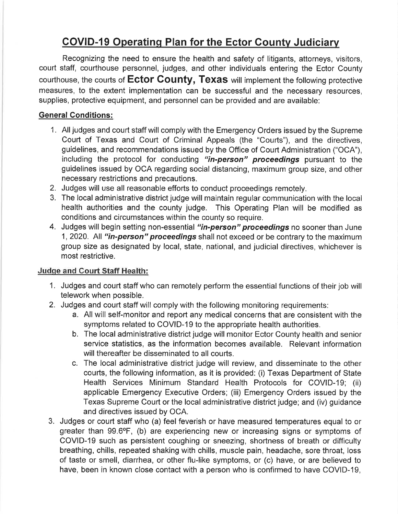# COVID-19 Operating Plan for the Ector County Judiciary

Recognizing the need to ensure the health and safety of litigants, attorneys, visitors, court staff, courthouse personnel, judges, and other individuals entering the Ector County courthouse, the courts of Ector County, Texas will implement the following protective measures, to the extent implementation can be successful and the necessary resources, supplies, protective equipment, and personnel can be provided and are available:

# General Conditions:

- 1. All judges and court staff will comply with the Emergency Orders issued by the Supreme Court of Texas and Court of Criminal Appeals (the "Courts"), and the directives, guidelines, and recommendations issued by the Office of Court Administration ("OCA"), including the protocol for conducting "in-person" proceedings pursuant to the guidelines issued by OCA regarding social distancing, maximum group size, and other necessary restrictions and precautions.
- 2. Judges will use all reasonable efforts to conduct proceedings remotely.
- 3. The local administrative district judge will maintain regular communication with the local health authorities and the county judge. This Operating Plan will be modified as conditions and circumstances within the county so require.
- 4. Judges will begin setting non-essential "in-person" proceedings no sooner than June 1, 2020. All "in-person" proceedings shall not exceed or be contrary to the maximum group size as designated by local, state, national, and judicial directives, whichever is most restrictive.

## Judqe and Gourt Staff Health:

- 1. Judges and court staff who can remotely perform the essential functions of their job will telework when possible.
- 2. Judges and court staff will comply with the following monitoring requirements:
	- a. All will self-monitor and report any medical concerns that are consistent with the symptoms related to COVID-19 to the appropriate health authorities.
	- b. The local administrative district judge will monitor Ector County health and senior service statistics, as the information becomes available. Relevant information will thereafter be disseminated to all courts.
	- c. The local administrative district judge will review, and disseminate to the other courts, the following information, as it is provided: (i) Texas Department of State Health Services Minimum Standard Health Protocols for COVID-19; (ii) applicable Emergency Executive Orders; (iii) Emergency Orders issued by the Texas Supreme Court or the local administrative district judge; and (iv) guidance and directives issued by OCA.
- 3. Judges or court staff who (a) feel feverish or have measured temperatures equal to or greater than 99.6°F, (b) are experiencing new or increasing signs or symptoms of COVID-19 such as persistent coughing or sneezing, shortness of breath or difficulty breathing, chills, repeated shaking with chills, muscle pain, headache, sore throat, loss of taste or smell, diarrhea, or other flu-like symptoms, or (c) have, or are believed to have, been in known close contact with a person who is confirmed to have COVID-19,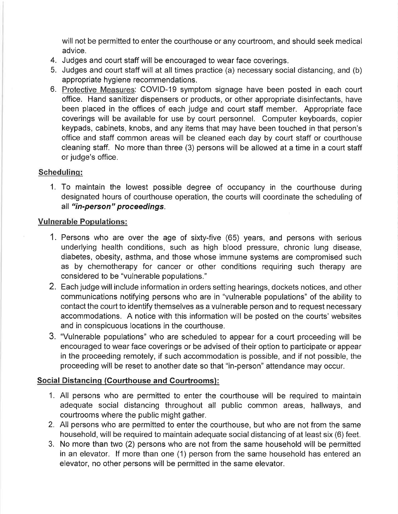will not be permitted to enter the courthouse or any courtroom, and should seek medical advice.

- 4. Judges and court staff will be encouraged to wear face coverings.
- 5. Judges and court staff will at all times practice (a) necessary social distancing, and (b) appropriate hygiene recommendations.
- 6. Protective Measures: COVID-19 symptom signage have been posted in each court office. Hand sanitizer dispensers or products, or other appropriate disinfectants, have been placed in the offices of each judge and court staff member. Appropriate face coverings will be available for use by court personnel. Computer keyboards, copier keypads, cabinets, knobs, and any items that may have been touched in that person's office and staff common areas will be cleaned each day by court staff or courthouse cleaning staff. No more than three (3) persons will be allowed at a time in a court staff or judge's office.

#### Schedulinq:

1. To maintain the lowest possible degree of occupancy in the courthouse during designated hours of courthouse operation, the courts will coordinate the scheduling of all "in-person" proceedings.

#### Vulnerable Populations:

- 1. Persons who are over the age of sixty-five (65) years, and persons with serious underlying health conditions, such as high blood pressure, chronic lung disease, diabetes, obesity, asthma, and those whose immune systems are compromised such as by chemotherapy for cancer or other conditions requiring such therapy are considered to be "vulnerable populations."
- 2. Each judge will include information in orders setting hearings, dockets notices, and other communications notifying persons who are in "vulnerable populations" of the ability to contact the court to identify themselves as a vulnerable person and to request necessary accommodations. A notice with this information will be posted on the courts'websites and in conspicuous locations in the courthouse.
- 3. "Vulnerable populations" who are scheduled to appear for a court proceeding will be encouraged to wear face coverings or be advised of their option to participate or appear in the proceeding remotely, if such accommodation is possible, and if not possible, the proceeding will be reset to another date so that "in-person" attendance may occur.

#### Social Distancing (Courthouse and Courtrooms):

- 1. All persons who are permitted to enter the courthouse will be required to maintain adequate social distancing throughout all public common areas, hallways, and courtrooms where the public might gather.
- 2. All persons who are permitted to enter the courthouse, but who are not from the same household, will be required to maintain adequate social distancing of at least six (6) feet.
- 3. No more than two (2) persons who are not from the same household will be permitted in an elevator. lf more than one (1) person from the same household has entered an elevator, no other persons will be permitted in the same elevator.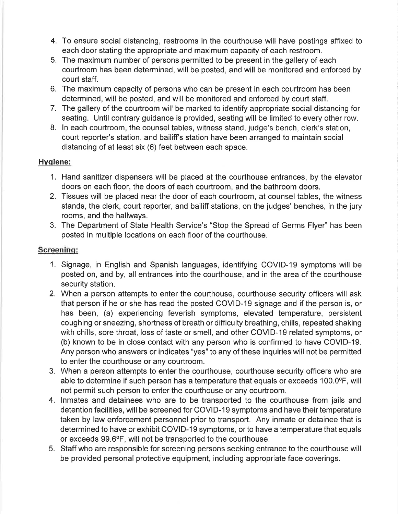- 4. To ensure social distancing, restrooms in the courthouse will have postings affixed to each door stating the appropriate and maximum capacity of each restroom.
- 5. The maximum number of persons permitted to be present in the gallery of each courtroom has been determined, will be posted, and will be monitored and enforced by court staff.
- 6. The maximum capacity of persons who can be present in each courtroom has been determined, will be posted, and will be monitored and enforced by court staff.
- 7. The gallery of the courtroom will be marked to identify appropriate social distancing for seating. Until contrary guidance is provided, seating will be limited to every other row.
- 8. ln each courtroom, the counsel tables, witness stand, judge's bench, clerk's station, court reporter's station, and bailiff's station have been arranged to maintain social distancing of at least six (6) feet between each space.

## Hvqiene:

- 1. Hand sanitizer dispensers will be placed at the courthouse entrances, by the elevator doors on each floor, the doors of each courtroom, and the bathroom doors.
- 2. Tissues will be placed near the door of each courtroom, at counsel tables, the witness stands, the clerk, court reporter, and bailiff stations, on the judges' benches, in the jury rooms, and the hallways.
- 3. The Department of State Health Service's "Stop the Spread of Germs Flyer" has been posted in multiple locations on each floor of the courthouse,

## Screeninq:

- 1. Signage, in English and Spanish languages, identifying COVID-19 symptoms will be posted on, and by, all entrances into the courthouse, and in the area of the courthouse security station.
- 2. When a person attempts to enter the courthouse, courthouse security officers will ask that person if he or she has read the posted COVID-19 signage and if the person is, or has been, (a) experiencing feverish symptoms, elevated temperature, persistent coughing or sneezing, shortness of breath or difficulty breathing, chills, repeated shaking with chills, sore throat, loss of taste or smell, and other COVID-19 related symptoms, or (b) known to be in close contact with any person who is confirmed to have COVID-19. Any person who answers or indicates "yes" to any of these inquiries will not be permitted to enter the courthouse or any courtroom.
- 3. When a person attempts to enter the courthouse, courthouse security officers who are able to determine if such person has a temperature that equals or exceeds 100.0°F, will not permit such person to enter the courthouse or any courtroom.
- 4. lnmates and detainees who are to be transpofted to the courthouse from jails and detention facilities, will be screened for COVID-19 symptoms and have their temperature taken by law enforcement personnel prior to transport. Any inmate or detainee that is determined to have or exhibit COVID-19 symptoms, or to have a temperature that equals or exceeds 99.6°F, will not be transported to the courthouse.
- 5. Staff who are responsible for screening persons seeking entrance to the courlhouse will be provided personal protective equipment, including appropriate face coverings.